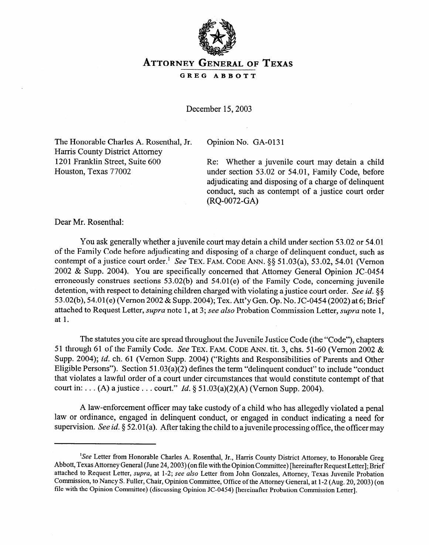

**ATTORNEY GENERAL OF TEXAS** 

**GREG ABBOTT** 

December 15, 2003

The Honorable Charles A. Rosenthal, Jr. Harris County District Attorney 1201 Franklin Street, Suite 600 Houston, Texas 77002

Opinion No. GA-0131

Re: Whether a juvenile court may detain a child under section 53.02 or 54.01, Family Code, before adjudicating and disposing of a charge of delinquent conduct, such as contempt of a justice court order (RQ-0072-GA)

Dear Mr. Rosenthal:

You ask generally whether a juvenile court may detain a child under section 53.02 or 54.01 of the Family Code before adjudicating and disposing of a charge of delinquent conduct, such as contempt of a justice court order.<sup>1</sup> See TEX. FAM. CODE ANN. §§ 51.03(a), 53.02, 54.01 (Vernon 2002 & Supp. 2004). You are specifically concerned that Attorney General Opinion JC-0454 erroneously construes sections  $53.02(b)$  and  $54.01(e)$  of the Family Code, concerning juvenile detention, with respect to detaining children charged with violating a justice court order. See id. §§ 53.02(b), 54.01(e) (Vernon 2002 & Supp. 2004); Tex. Att'y Gen. Op. No. JC-0454 (2002) at 6; Brief attached to Request Letter, *supra* note 1, at 3; see also Probation Commission Letter, *supra* note 1. attached to Request Letter, *supra* note 1, at 3; see *also* Probation Commission Letter, *supra* note 1,

The statutes you cite are spread throughout the Juvenile Justice Code (the "Code"), chapters 51 through 61 of the Family Code. See TEX. FAM. CODE ANN. tit. 3, chs. 51-60 (Vernon 2002 & Supp. 2004); id. ch. 61 (Vernon Supp. 2004) ("Rights and Responsibilities of Parents and Other Eligible Persons"). Section  $51.03(a)(2)$  defines the term "delinguent conduct" to include "conduct" that violates a lawful order of a court under circumstances that would constitute contempt of that court in: . . . (A) a justice . . . court." *Id.*  $\S 51.03(a)(2)(A)$  (Vernon Supp. 2004). court in: . . . (A) a justice . . . court." *Id.* § 51.03(a)(2)(A) (Vernon Supp. 2004).

A law-enforcement officer may take custody of a child who has allegedly violated a penal law or ordinance, engaged in delinquent conduct, or engaged in conduct indicating a need for supervision. See id. § 52.01(a). After taking the child to a juvenile processing office, the officer may supervision. See *id.* 8 52.01 (a). After taking the child to a juvenile processing office, the officer may

<sup>&</sup>lt;sup>1</sup>See Letter from Honorable Charles A. Rosenthal, Jr., Harris County District Attorney, to Honorable Greg Abbott, Texas Attorney General (June 24, 2003) (on file with the Opinion Committee) [hereinafter Request Letter]; Brief attached to Request Letter, supra, at 1-2; see also Letter from John Gonzales, Attorney, Texas Juvenile Probation Commission, to Nancy S. Fuller, Chair, Opinion Committee, Office of the Attorney General, at 1-2 (Aug. 20, 2003) (on file with the Opinion Committee) (discussing Opinion JC-0454) [hereinafter Probation Commission Letter].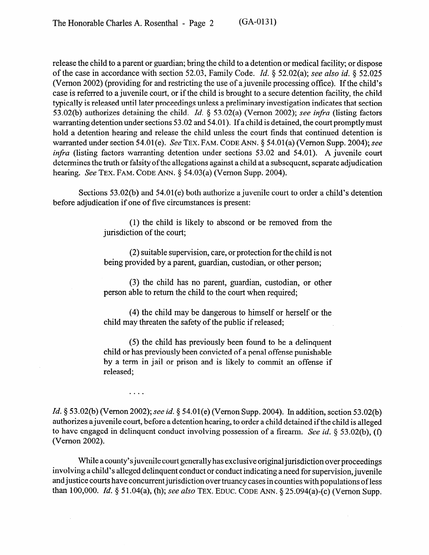release the child to a parent or guardian; bring the child to a detention or medical facility; or dispose of the case in accordance with section 52.03, Family Code. *Id. 8* 52.02(a); see *also id. 8 52.025*  (Vernon 2002) (providing for and restricting the use of a juvenile processing office). If the child's case is referred to a juvenile court, or if the child is brought to a secure detention facility, the child typically is released until later proceedings unless a preliminary investigation indicates that section 53.02(b) authorizes detaining the child. *Id.* 9 53.02(a) (Vernon 2002); see *infra* (listing factors warranting detention under sections 53.02 and 54.01). If a child is detained, the court promptly must hold a detention hearing and release the child unless the court finds that continued detention is warranted under section 54.01(e). See **TEX. FAM. CODE** ANN. 8 54.01(a) (Vernon Supp. 2004); see *infra* (listing factors warranting detention under sections 53.02 and 54.01). A juvenile court determines the truth or falsity of the allegations against a child at a subsequent, separate adjudication hearing. See **TEX. FAM. CODE** ANN. 9 54.03(a) (Vernon Supp. 2004).

Sections 53.02(b) and 54.01(e) both authorize a juvenile court to order a child's detention before adjudication if one of five circumstances is present:

> (1) the child is likely to abscond or be removed from the jurisdiction of the court;

> (2) suitable supervision, care, or protection for the child is not being provided by a parent, guardian, custodian, or other person;

> (3) the child has no parent, guardian, custodian, or other person able to return the child to the court when required;

> (4) the child may be dangerous to himself or herself or the child may threaten the safety of the public if released;

> (5) the child has previously been found to be a delinquent child or has previously been convicted of a penal offense punishable by a term in jail or prison and is likely to commit an offense if released;

*Id.* § 53.02(b) (Vernon 2002); see *id.* § 54.01(e) (Vernon Supp. 2004). In addition, section 53.02(b) authorizes a juvenile court, before a detention hearing, to order a child detained if the child is alleged to have engaged in delinquent conduct involving possession of a firearm. See *id. 6 53.02(b), (f)*  (Vernon 2002).

 $\ldots$ 

While a county's juvenile court generally has exclusive original jurisdiction over proceedings involving a child's alleged delinquent conduct or conduct indicating a need for supervision, juvenile and justice courts have concurrent jurisdiction over truancy cases in counties with populations of less than 100,000. *Id. 8 5* 1.04(a), (h); **see** *also* **TEX. EDUC. CODE** ANN. 8 25.094(a)-(c) (Vernon Supp.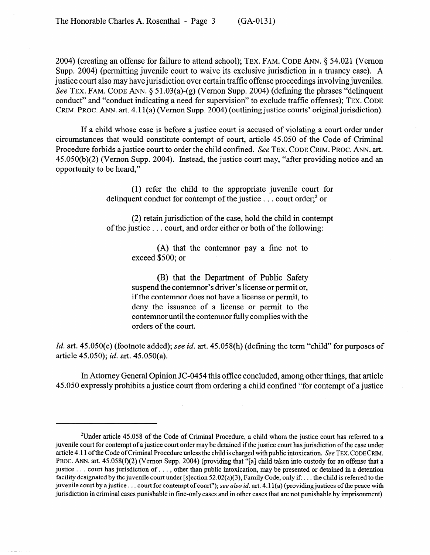2004) (creating an offense for failure to attend school); **TEX. FAM.** CODE ANN. 8 54.021 (Vernon Supp. 2004) (permitting juvenile court to waive its exclusive jurisdiction in a truancy case). A justice court also may have jurisdiction over certain traffic offense proceedings involving juveniles. See TEX. FAM. CODE ANN. § 51.03(a)-(g) (Vernon Supp. 2004) (defining the phrases "delinquent" conduct" and "conduct indicating a need for supervision" to exclude traffic offenses); **TEX. CODE GRIM. PROC. ANN.** art. 4.1 l(a) (Vernon Supp. 2004) (outlining justice courts' original jurisdiction).

If a child whose case is before a justice court is accused of violating a court order under circumstances that would constitute contempt of court, article 45.050 of the Code of Criminal Procedure forbids a justice court to order the child confined. See **TEX. CODE GRIM. PROC. ANN. art.**  45.050(b)(2) (V emon Supp. 2004). Instead, the justice court may, "after providing notice and an opportunity to be heard,"

> (1) refer the child to the appropriate juvenile court for delinquent conduct for contempt of the justice  $\ldots$  court order;<sup>2</sup> or

> (2) retain jurisdiction of the case, hold the child in contempt of the justice . . . court, and order either or both of the following:

> > (A) that the contemnor pay a fine not to exceed \$500; or

> > (B) that the Department of Public Safety suspend the contemnor's driver's license or permit or, if the contemnor does not have a license or permit, to deny the issuance of a license or permit to the contemnor until the contemnor fully complies with the orders of the court.

*Id.* art. 45.050(c) (footnote added); see *id.* art. 45.058(h) (defining the term "child" for purposes of article 45.050); *id.* art. 45.050(a).

In Attorney General Opinion JC-0454 this office concluded, among other things, that article 45.050 expressly prohibits a justice court from ordering a child confined "for contempt of a justice

<sup>2</sup>Under article 45.058 of the Code of Criminal Procedure, a child whom the justice court has referred to a juvenile court for contempt of a justice court order may be detained if the justice court has jurisdiction of the case under article 4.11 of the Code of Criminal Procedure unless the child is charged with public intoxication. See **TEX. CODE** GRIM. PROC. ANN. art. 45.058(f)(2) (Vernon Supp. 2004) (providing that "[a] child taken into custody for an offense that a justice . . . court has jurisdiction of . . . , other than public intoxication, may be presented or detained in a detention facility designated by the juvenile court under [s]ection  $52.02(a)(3)$ , Family Code, only if: ... the child is referred to the juvenile court by a justice . . . court for contempt of court"); see *aLso id.* art. 4.11 (a) (providing justices of the peace with jurisdiction in criminal cases punishable in fine-only cases and in other cases that are not punishable by imprisonment).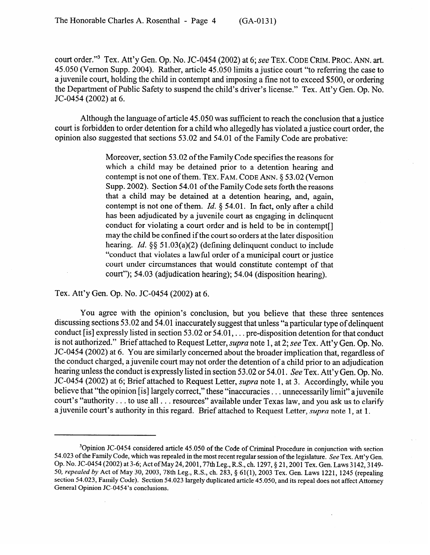court order."3 Tex. Att'y Gen. Op. No. JC-0454 (2002) at 6; see **TEX.** CODE **GRIM.** PROC. ANN. art. 45.050 (Vernon Supp. 2004). Rather, article 45.050 limits a justice court "to referring the case to a juvenile court, holding the child in contempt and imposing a fine not to exceed \$500, or ordering the Department of Public Safety to suspend the child's driver's license." Tex. Att'y Gen. Op. No. JC-0454 (2002) at 6.

Although the language of article 45.050 was sufficient to reach the conclusion that a justice court is forbidden to order detention for a child who allegedly has violated a justice court order, the opinion also suggested that sections 53.02 and 54.01 of the Family Code are probative:

> Moreover, section 53.02 of the Family Code specifies the reasons for which a child may be detained prior to a detention hearing and contempt is not one of them. TEX. FAM. CODE ANN. § 53.02 (Vernon Supp. 2002). Section 54.01 of the Family Code sets forth the reasons that a child may be detained at a detention hearing, and, again, contempt is not one of them. *Id.*  $\S$  54.01. In fact, only after a child has been adjudicated by a juvenile court as engaging in delinquent conduct for violating a court order and is held to be in contempt. may the child be confined if the court so orders at the later disposition hearing. *Id.*  $\S$ § 51.03(a)(2) (defining delinguent conduct to include "conduct that violates a lawful order of a municipal court or justice court under circumstances that would constitute contempt of that court under circumstances that would constitute contempt of that  $\frac{1}{2}$ ....,  $\frac{1}{2}$ ,  $\frac{1}{2}$ ,  $\frac{1}{2}$ ,  $\frac{1}{2}$ ,  $\frac{1}{2}$ ,  $\frac{1}{2}$ ,  $\frac{1}{2}$ ,  $\frac{1}{2}$ ,  $\frac{1}{2}$ ,  $\frac{1}{2}$ ,  $\frac{1}{2}$ ,  $\frac{1}{2}$ ,  $\frac{1}{2}$ ,  $\frac{1}{2}$ ,  $\frac{1}{2}$ ,  $\frac{1}{2}$ ,  $\frac{1}{2}$ ,  $\frac{1}{2}$ ,  $\frac{1}{2}$

Tex. Att'y Gen. Op. No. JC-0454 (2002) at 6.

You agree with the opinion's conclusion, but you believe that these three sentences discussing sections 53.02 and 54.01 inaccurately suggest that unless "a particular type of delinquent conduct [is] expressly listed in section 53.02 or  $54.01...$  pre-disposition detention for that conduct is not authorized." Brief attached to Request Letter, supra note 1, at 2; see Tex. Att'y Gen. Op. No. JC-0454 (2002) at 6. You are similarly concerned about the broader implication that, regardless of the conduct charged, a juvenile court may not order the detention of a child prior to an adjudication hearing unless the conduct is expressly listed in section 53.02 or 54.01. See Tex. Att'y Gen. Op. No. JC-0454 (2002) at 6; Brief attached to Request Letter, *supra* note 1, at 3. Accordingly, while you believe that "the opinion [is] largely correct," these "inaccuracies . . . unnecessarily limit" a juvenile court's "authority  $\ldots$  to use all  $\ldots$  resources" available under Texas law, and you ask us to clarify a juvenile court's authority in this regard. Brief attached to Request Letter, *supra* note 1, at 1. a juvenile court's authority in this regard. Brief attached to Request Letter, *supra* note 1, at 1.

<sup>&</sup>lt;sup>3</sup>Opinion JC-0454 considered article 45.050 of the Code of Criminal Procedure in conjunction with section 54.023 of the Family Code, which was repealed in the most recent regular session of the legislature. See Tex. Att'y Gen. Op. No. JC-0454 (2002) at 3-6; Act of May 24, 2001, 77th Leg., R.S., ch. 1297, § 21, 2001 Tex. Gen. Laws 3142, 3149-50, repealed by Act of May 30, 2003, 78th Leg., R.S., ch. 283, § 61(1), 2003 Tex. Gen. Laws 1221, 1245 (repealing section 54.023, Family Code). Section 54.023 largely duplicated article 45.050, and its repeal does not affect Attorney General Opinion JC-0454's conclusions.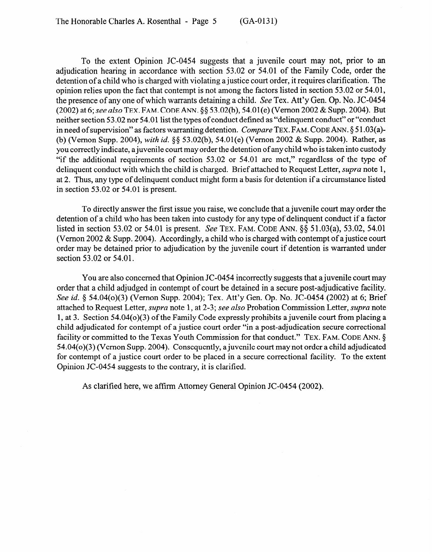To the extent Opinion JC-0454 suggests that a juvenile court may not, prior to an adjudication hearing in accordance with section 53.02 or 54.01 of the Family Code, order the detention of a child who is charged with violating a justice court order, it requires clarification. The opinion relies upon the fact that contempt is not among the factors listed in section 53.02 or 54.01, the presence of any one of which warrants detaining a child. See Tex. Att'y Gen. Op. No. JC-0454 *(2002)* at 6; see *also* **TEX. FAM. CODE** ANN. 45 53.02(b), 54.01 (e) (Vernon 2002 & Supp. 2004). But neither section 53.02 nor 54.01 list the types of conduct defined as "delinquent conduct" or "conduct in need of supervision" as factors warranting detention. *Compare* **TEX. FAM. CODE ANN. \$5** 1.03(a)- (b) (Vernon Supp. 2004), *with id.* \$5 53.02(b), 54.01(e) (Vernon 2002 & Supp. 2004). Rather, as you correctly indicate, a juvenile court may order the detention of any child who is taken into custody "if the additional requirements of section 53.02 or 54.01 are met," regardless of the type of delinquent conduct with which the child is charged. Brief attached to Request Letter, *supra* note 1, at 2. Thus, any type of delinquent conduct might form a basis for detention if a circumstance listed in section 53.02 or 54.01 is present.

To directly answer the first issue you raise, we conclude that a juvenile court may order the detention of a child who has been taken into custody for any type of delinquent conduct if a factor listed in section 53.02 or 54.01 is present. See **TEX. FAM. CODE ANN. \$8** 51.03(a), 53.02, 54.01 (Vernon 2002 & Supp. 2004). Accordingly, a child who is charged with contempt of a justice court order may be detained prior to adjudication by the juvenile court if detention is warranted under section 53.02 or 54.01.

You are also concerned that Opinion JC-0454 incorrectly suggests that a juvenile court may order that a child adjudged in contempt of court be detained in a secure post-adjudicative facility. See *id.* § 54.04(o)(3) (Vernon Supp. 2004); Tex. Att'y Gen. Op. No. JC-0454 (2002) at 6; Brief attached to Request Letter, *supra* note 1, at 2-3; see *also* Probation Commission Letter, *supra* note 1, at 3. Section 54.04(o)(3) of the Family Code expressly prohibits a juvenile court from placing a child adjudicated for contempt of a justice court order "in a post-adjudication secure correctional facility or committed to the Texas Youth Commission for that conduct." TEX. FAM. CODE ANN. § 54.04(o)(3) (Vernon Supp. 2004). Consequently, a juvenile court may not order a child adjudicated for contempt of a justice court order to be placed in a secure correctional facility. To the extent Opinion JC-0454 suggests to the contrary, it is clarified.

As clarified here, we affirm Attorney General Opinion JC-0454 (2002).